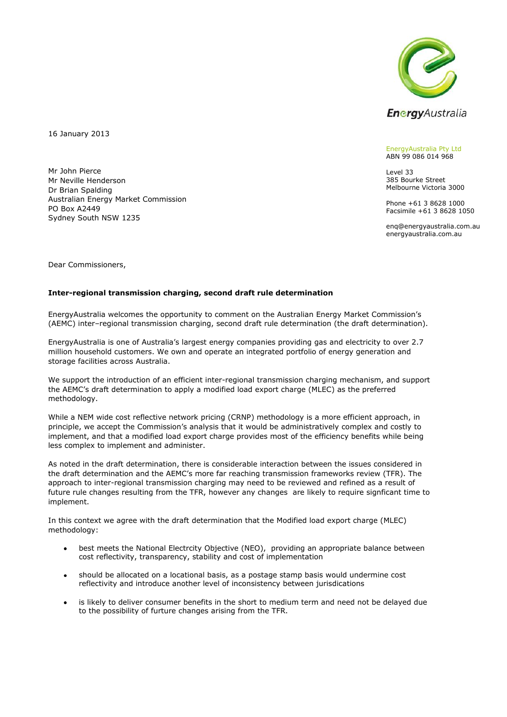

16 January 2013

Mr John Pierce Mr Neville Henderson Dr Brian Spalding Australian Energy Market Commission PO Box A2449 Sydney South NSW 1235

EnergyAustralia Pty Ltd ABN 99 086 014 968

Level 33 385 Bourke Street Melbourne Victoria 3000

Phone +61 3 8628 1000 Facsimile +61 3 8628 1050

enq@energyaustralia.com.au energyaustralia.com.au

Dear Commissioners,

## **Inter-regional transmission charging, second draft rule determination**

EnergyAustralia welcomes the opportunity to comment on the Australian Energy Market Commission's (AEMC) inter–regional transmission charging, second draft rule determination (the draft determination).

EnergyAustralia is one of Australia's largest energy companies providing gas and electricity to over 2.7 million household customers. We own and operate an integrated portfolio of energy generation and storage facilities across Australia.

We support the introduction of an efficient inter-regional transmission charging mechanism, and support the AEMC's draft determination to apply a modified load export charge (MLEC) as the preferred methodology.

While a NEM wide cost reflective network pricing (CRNP) methodology is a more efficient approach, in principle, we accept the Commission's analysis that it would be administratively complex and costly to implement, and that a modified load export charge provides most of the efficiency benefits while being less complex to implement and administer.

As noted in the draft determination, there is considerable interaction between the issues considered in the draft determination and the AEMC's more far reaching transmission frameworks review (TFR). The approach to inter-regional transmission charging may need to be reviewed and refined as a result of future rule changes resulting from the TFR, however any changes are likely to require signficant time to implement.

In this context we agree with the draft determination that the Modified load export charge (MLEC) methodology:

- best meets the National Electrcity Objective (NEO), providing an appropriate balance between cost reflectivity, transparency, stability and cost of implementation
- should be allocated on a locational basis, as a postage stamp basis would undermine cost  $\bullet$ reflectivity and introduce another level of inconsistency between jurisdications
- is likely to deliver consumer benefits in the short to medium term and need not be delayed due to the possibility of furture changes arising from the TFR.